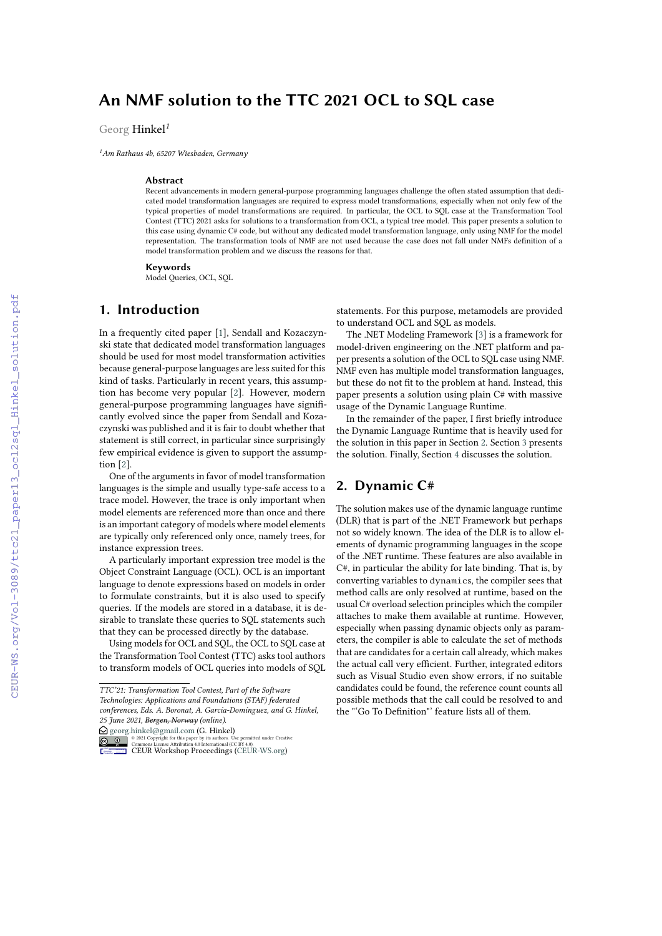# **An NMF solution to the TTC 2021 OCL to SQL case**

Georg Hinkel*<sup>1</sup>*

*<sup>1</sup>Am Rathaus 4b, 65207 Wiesbaden, Germany*

#### **Abstract**

Recent advancements in modern general-purpose programming languages challenge the often stated assumption that dedicated model transformation languages are required to express model transformations, especially when not only few of the typical properties of model transformations are required. In particular, the OCL to SQL case at the Transformation Tool Contest (TTC) 2021 asks for solutions to a transformation from OCL, a typical tree model. This paper presents a solution to this case using dynamic C# code, but without any dedicated model transformation language, only using NMF for the model representation. The transformation tools of NMF are not used because the case does not fall under NMFs definition of a model transformation problem and we discuss the reasons for that.

#### **Keywords**

Model Queries, OCL, SQL

# **1. Introduction**

In a frequently cited paper [\[1\]](#page--1-0), Sendall and Kozaczynski state that dedicated model transformation languages should be used for most model transformation activities because general-purpose languages are less suited for this kind of tasks. Particularly in recent years, this assumption has become very popular [\[2\]](#page--1-1). However, modern general-purpose programming languages have significantly evolved since the paper from Sendall and Kozaczynski was published and it is fair to doubt whether that statement is still correct, in particular since surprisingly few empirical evidence is given to support the assumption [\[2\]](#page--1-1).

One of the arguments in favor of model transformation languages is the simple and usually type-safe access to a trace model. However, the trace is only important when model elements are referenced more than once and there is an important category of models where model elements are typically only referenced only once, namely trees, for instance expression trees.

A particularly important expression tree model is the Object Constraint Language (OCL). OCL is an important language to denote expressions based on models in order to formulate constraints, but it is also used to specify queries. If the models are stored in a database, it is desirable to translate these queries to SQL statements such that they can be processed directly by the database.

Using models for OCL and SQL, the OCL to SQL case at the Transformation Tool Contest (TTC) asks tool authors to transform models of OCL queries into models of SQL

 $\bigcirc$  [georg.hinkel@gmail.com](mailto:georg.hinkel@gmail.com) (G. Hinkel)



<sup>2</sup> <sup>2021</sup> Copyright for this paper by its authors. Use permitted under Creative<br>
CETUR Workshop [Proceedings](http://ceur-ws.org) (CEBUR-WS.org)

statements. For this purpose, metamodels are provided to understand OCL and SQL as models.

The .NET Modeling Framework [\[3\]](#page--1-2) is a framework for model-driven engineering on the .NET platform and paper presents a solution of the OCL to SQL case using NMF. NMF even has multiple model transformation languages, but these do not fit to the problem at hand. Instead, this paper presents a solution using plain C# with massive usage of the Dynamic Language Runtime.

In the remainder of the paper, I first briefly introduce the Dynamic Language Runtime that is heavily used for the solution in this paper in Section [2.](#page-0-0) Section [3](#page--1-3) presents the solution. Finally, Section [4](#page--1-4) discusses the solution.

# <span id="page-0-0"></span>**2. Dynamic C#**

The solution makes use of the dynamic language runtime (DLR) that is part of the .NET Framework but perhaps not so widely known. The idea of the DLR is to allow elements of dynamic programming languages in the scope of the .NET runtime. These features are also available in C#, in particular the ability for late binding. That is, by converting variables to dynamics, the compiler sees that method calls are only resolved at runtime, based on the usual C# overload selection principles which the compiler attaches to make them available at runtime. However, especially when passing dynamic objects only as parameters, the compiler is able to calculate the set of methods that are candidates for a certain call already, which makes the actual call very efficient. Further, integrated editors such as Visual Studio even show errors, if no suitable candidates could be found, the reference count counts all possible methods that the call could be resolved to and the "'Go To Definition"' feature lists all of them.

*TTC'21: Transformation Tool Contest, Part of the Software Technologies: Applications and Foundations (STAF) federated conferences, Eds. A. Boronat, A. García-Domínguez, and G. Hinkel, 25 June 2021, Bergen, Norway (online).*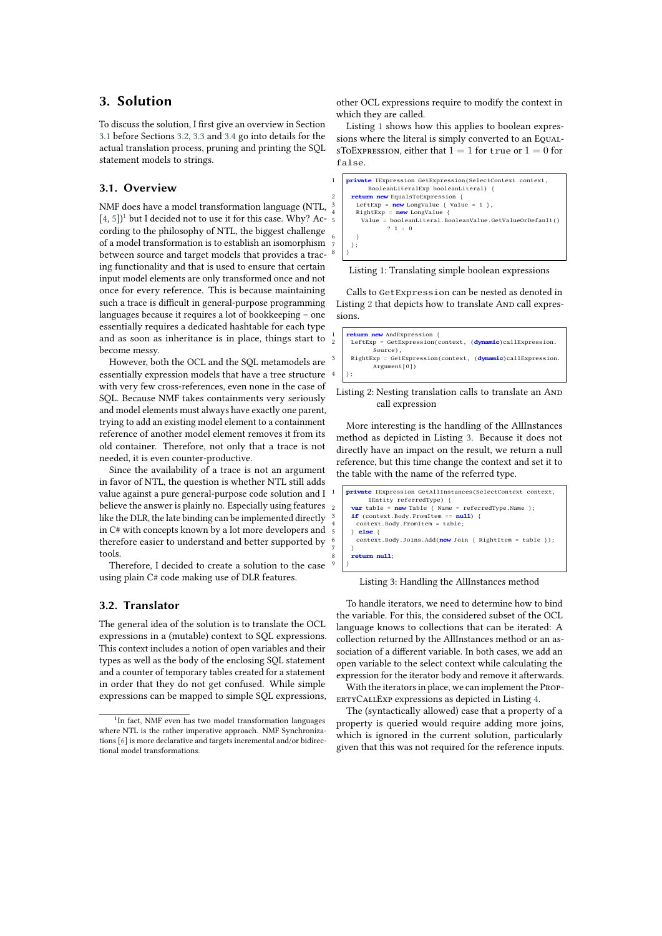## **3. Solution**

To discuss the solution, I first give an overview in Section [3.1](#page-1-0) before Sections [3.2,](#page-1-1) [3.3](#page-2-0) and [3.4](#page-3-0) go into details for the actual translation process, pruning and printing the SQL statement models to strings.

#### <span id="page-1-0"></span>**3.1. Overview**

NMF does have a model transformation language (NTL,  $[4, 5]$  $[4, 5]$  $[4, 5]$ <sup>[1](#page-1-2)</sup> but I decided not to use it for this case. Why? According to the philosophy of NTL, the biggest challenge of a model transformation is to establish an isomorphism between source and target models that provides a tracing functionality and that is used to ensure that certain input model elements are only transformed once and not once for every reference. This is because maintaining such a trace is difficult in general-purpose programming languages because it requires a lot of bookkeeping – one essentially requires a dedicated hashtable for each type and as soon as inheritance is in place, things start to become messy.

However, both the OCL and the SQL metamodels are essentially expression models that have a tree structure with very few cross-references, even none in the case of SQL. Because NMF takes containments very seriously and model elements must always have exactly one parent, trying to add an existing model element to a containment reference of another model element removes it from its old container. Therefore, not only that a trace is not needed, it is even counter-productive.

Since the availability of a trace is not an argument in favor of NTL, the question is whether NTL still adds value against a pure general-purpose code solution and I believe the answer is plainly no. Especially using features like the DLR, the late binding can be implemented directly in C# with concepts known by a lot more developers and therefore easier to understand and better supported by tools.

Therefore, I decided to create a solution to the case using plain C# code making use of DLR features.

#### <span id="page-1-1"></span>**3.2. Translator**

The general idea of the solution is to translate the OCL expressions in a (mutable) context to SQL expressions. This context includes a notion of open variables and their types as well as the body of the enclosing SQL statement and a counter of temporary tables created for a statement in order that they do not get confused. While simple expressions can be mapped to simple SQL expressions, other OCL expressions require to modify the context in which they are called.

Listing [1](#page-1-3) shows how this applies to boolean expressions where the literal is simply converted to an EqualsToExpression, either that  $1 = 1$  for true or  $1 = 0$  for false.

<span id="page-1-3"></span>

Listing 1: Translating simple boolean expressions

Calls to GetExpression can be nested as denoted in Listing [2](#page-1-4) that depicts how to translate And call expressions.

<span id="page-1-4"></span>

| 1   <b>return new</b> AndExpression {                                   |
|-------------------------------------------------------------------------|
| 2   LeftExp = GetExpression(context, (dynamic)callExpression.           |
| Source),                                                                |
| 3   RightExp = GetExpression(context, ( <b>dynamic</b> )callExpression. |
| Argument[0])                                                            |
| $4 \mid$ };                                                             |

Listing 2: Nesting translation calls to translate an AND call expression

More interesting is the handling of the AllInstances method as depicted in Listing [3.](#page-1-5) Because it does not directly have an impact on the result, we return a null reference, but this time change the context and set it to the table with the name of the referred type.

<span id="page-1-5"></span>

Listing 3: Handling the AllInstances method

To handle iterators, we need to determine how to bind the variable. For this, the considered subset of the OCL language knows to collections that can be iterated: A collection returned by the AllInstances method or an association of a different variable. In both cases, we add an open variable to the select context while calculating the expression for the iterator body and remove it afterwards.

With the iterators in place, we can implement the PropertyCallExp expressions as depicted in Listing [4.](#page-2-1)

The (syntactically allowed) case that a property of a property is queried would require adding more joins, which is ignored in the current solution, particularly given that this was not required for the reference inputs.

<span id="page-1-2"></span><sup>&</sup>lt;sup>1</sup>In fact, NMF even has two model transformation languages where NTL is the rather imperative approach. NMF Synchronizations [\[6\]](#page-4-2) is more declarative and targets incremental and/or bidirectional model transformations.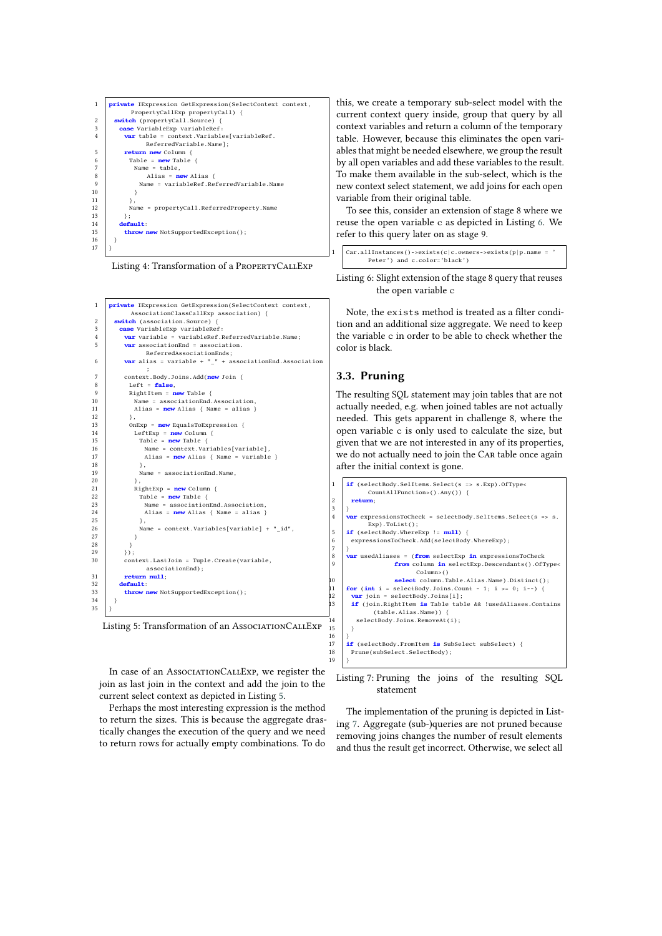<span id="page-2-1"></span>

| 1              | private IExpression GetExpression(SelectContext context, |
|----------------|----------------------------------------------------------|
|                | PropertyCallExp propertyCall) {                          |
| $\overline{c}$ | <b>switch</b> (propertyCall.Source) {                    |
| 3              | case VariableExp variableRef:                            |
| $\overline{4}$ | <b>var</b> table = context.Variables[variableRef.        |
|                | ReferredVariable.Name];                                  |
| 5              | return new Column {                                      |
| 6              | Table = $new$ Table {                                    |
| 7              | Name $=$ table.                                          |
| 8              | Alias = $new$ Alias {                                    |
| 9              | Name = variableRef.ReferredVariable.Name                 |
| 10             |                                                          |
| 11             | λ,                                                       |
| 12             | Name = propertyCall.ReferredProperty.Name                |
| 13             | };                                                       |
| 14             | default:                                                 |
| 15             | throw new NotSupportedException();                       |
| 16             |                                                          |
| 17             |                                                          |

Listing 4: Transformation of a PropertyCallExp

<span id="page-2-2"></span>

Listing 5: Transformation of an AssociationCallExp

In case of an AssociationCallExp, we register the join as last join in the context and add the join to the current select context as depicted in Listing [5.](#page-2-2)

Perhaps the most interesting expression is the method to return the sizes. This is because the aggregate drastically changes the execution of the query and we need to return rows for actually empty combinations. To do this, we create a temporary sub-select model with the current context query inside, group that query by all context variables and return a column of the temporary table. However, because this eliminates the open variables that might be needed elsewhere, we group the result by all open variables and add these variables to the result. To make them available in the sub-select, which is the new context select statement, we add joins for each open variable from their original table.

To see this, consider an extension of stage 8 where we reuse the open variable <sup>c</sup> as depicted in Listing [6.](#page-2-3) We refer to this query later on as stage 9.

<span id="page-2-3"></span>

| 1 $\text{Car.} all instances() \rightarrow exists(c c. owners \rightarrow exists(p p.name = \text{'})$ |  |
|--------------------------------------------------------------------------------------------------------|--|
| Peter') and c.color='black')                                                                           |  |

Listing 6: Slight extension of the stage 8 query that reuses the open variable c

Note, the exists method is treated as a filter condition and an additional size aggregate. We need to keep the variable <sup>c</sup> in order to be able to check whether the color is black.

#### <span id="page-2-0"></span>**3.3. Pruning**

 $\frac{3}{4}$ 

 $6789$ 

15 }

 $19$ 

The resulting SQL statement may join tables that are not actually needed, e.g. when joined tables are not actually needed. This gets apparent in challenge 8, where the open variable <sup>c</sup> is only used to calculate the size, but given that we are not interested in any of its properties, we do not actually need to join the Car table once again after the initial context is gone.

```
1 if (selectBody.SelItems.Select(s => s.Exp).OfType<
             CountAllFunction>().Any()) {
2 return;
      .<br><mark>var</mark> expressionsToCheck = selectBody.SelItems.Select(s => s.
             Exp).ToList();
5 if (selectBody.WhereExp != null) {
       expressionsToCheck.Add(selectBody.WhereExp);
      8 var usedAliases = (from selectExp in expressionsToCheck
                     from column in selectExp.Descendants().OfType<
                            Column>()
10 select column.Table.Alias.Name).Distinct();<br>11 for (int i = selectBody.Joins.Count - 1; i >= 0; i--) {
11 for (int i = selectBody.Joins.Count - 1; i >= 0; i--)<br>12 var join = selectBody.Joins[i];
        12 var join = selectBody.Joins[i];
       13 if (join.RightItem is Table table && !usedAliases.Contains
              (table.Alias.Name)) {
         selectBody.Joins.RemoveAt(i);
16 }
17 if (selectBody.FromItem is SubSelect subSelect) {<br>18 prune(subSelect.SelectBody);
       Prune(subSelect.SelectBody);
```
#### Listing 7: Pruning the joins of the resulting SQL statement

The implementation of the pruning is depicted in Listing [7.](#page-2-4) Aggregate (sub-)queries are not pruned because removing joins changes the number of result elements and thus the result get incorrect. Otherwise, we select all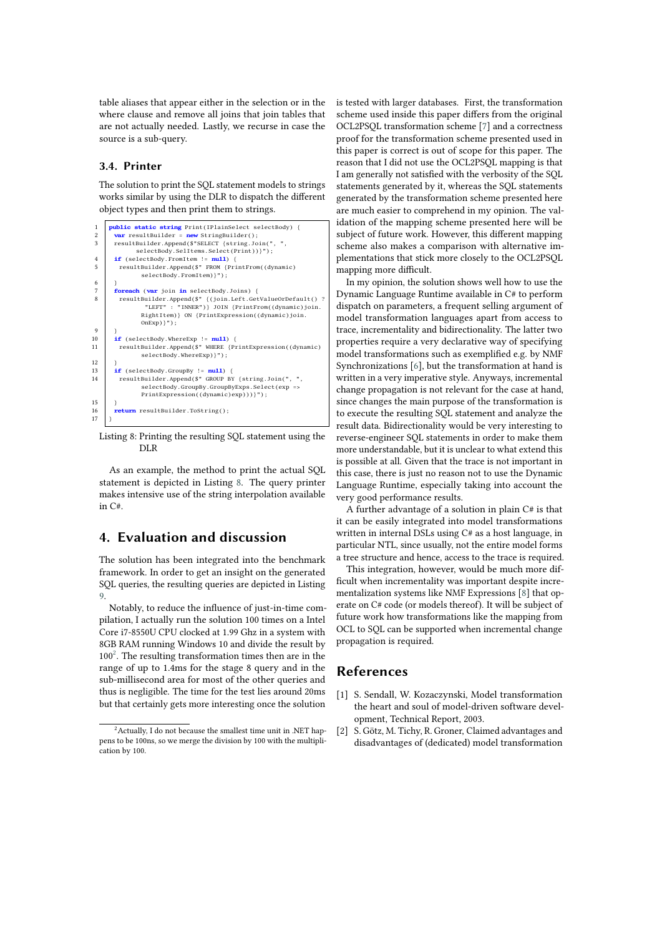table aliases that appear either in the selection or in the where clause and remove all joins that join tables that are not actually needed. Lastly, we recurse in case the source is a sub-query.

#### <span id="page-3-0"></span>**3.4. Printer**

The solution to print the SQL statement models to strings works similar by using the DLR to dispatch the different object types and then print them to strings.

```
1 public static string Print(IPlainSelect selectBody) {
 2 var resultBuilder = new StringBuilder();<br>3 resultBuilder.Append($"SELECT {string.Join(", ",
 selectBody.SelItems.Select(Print))}");<br>
4 if (selectBody.FromItem != null) {
 5 resultBuilder.Append($" FROM {PrintFrom((dynamic)
                 selectBody.FromItem)}");
 6 \mid }
 7 foreach (var join in selectBody.Joins) {
          resultBuilder.Append($" {(join.Left.GetValueOrDefault() ?<br>"LEFT" : "INNER")} JOIN {PrintFrom((dynamic)join.
                               "LEFT" : "INNER")} JOIN {PrintFrom((dynamic)join.
                 RightItem)} ON {PrintExpression((dynamic)join.
                 OnExp} }");
 9 }
10 if (selectBody.WhereExp != null) {<br>11 resultBuilder.Append($" WHERE {P
         11 resultBuilder.Append($" WHERE {PrintExpression((dynamic)
                 selectBody.WhereExp) }");
\frac{12}{13}13 if (selectBody.GroupBy != null) {
14 resultBuilder.Append($" GROUP BY {string.Join(", ",
                  selectBody.GroupBy.GroupByExps.Select(exp =>
                 PrintExpression((dynamic)exp)))}");
\frac{15}{16}16 return resultBuilder.ToString();
17 }
```
Listing 8: Printing the resulting SQL statement using the DLR

As an example, the method to print the actual SQL statement is depicted in Listing [8.](#page-3-1) The query printer makes intensive use of the string interpolation available in C#.

## **4. Evaluation and discussion**

The solution has been integrated into the benchmark framework. In order to get an insight on the generated SQL queries, the resulting queries are depicted in Listing [9.](#page-4-3)

Notably, to reduce the influence of just-in-time compilation, I actually run the solution 100 times on a Intel Core i7-8550U CPU clocked at 1.99 Ghz in a system with 8GB RAM running Windows 10 and divide the result by  $100<sup>2</sup>$  $100<sup>2</sup>$  $100<sup>2</sup>$ . The resulting transformation times then are in the range of up to 1.4ms for the stage 8 query and in the sub-millisecond area for most of the other queries and thus is negligible. The time for the test lies around 20ms but that certainly gets more interesting once the solution

is tested with larger databases. First, the transformation scheme used inside this paper differs from the original OCL2PSQL transformation scheme [\[7\]](#page-4-4) and a correctness proof for the transformation scheme presented used in this paper is correct is out of scope for this paper. The reason that I did not use the OCL2PSQL mapping is that I am generally not satisfied with the verbosity of the SQL statements generated by it, whereas the SQL statements generated by the transformation scheme presented here are much easier to comprehend in my opinion. The validation of the mapping scheme presented here will be subject of future work. However, this different mapping scheme also makes a comparison with alternative implementations that stick more closely to the OCL2PSQL mapping more difficult.

In my opinion, the solution shows well how to use the Dynamic Language Runtime available in C# to perform dispatch on parameters, a frequent selling argument of model transformation languages apart from access to trace, incrementality and bidirectionality. The latter two properties require a very declarative way of specifying model transformations such as exemplified e.g. by NMF Synchronizations [\[6\]](#page-4-2), but the transformation at hand is written in a very imperative style. Anyways, incremental change propagation is not relevant for the case at hand, since changes the main purpose of the transformation is to execute the resulting SQL statement and analyze the result data. Bidirectionality would be very interesting to reverse-engineer SQL statements in order to make them more understandable, but it is unclear to what extend this is possible at all. Given that the trace is not important in this case, there is just no reason not to use the Dynamic Language Runtime, especially taking into account the very good performance results.

A further advantage of a solution in plain C# is that it can be easily integrated into model transformations written in internal DSLs using C# as a host language, in particular NTL, since usually, not the entire model forms a tree structure and hence, access to the trace is required.

This integration, however, would be much more difficult when incrementality was important despite incrementalization systems like NMF Expressions [\[8\]](#page-4-5) that operate on C# code (or models thereof). It will be subject of future work how transformations like the mapping from OCL to SQL can be supported when incremental change propagation is required.

### **References**

- [1] S. Sendall, W. Kozaczynski, Model transformation the heart and soul of model-driven software development, Technical Report, 2003.
- [2] S. Götz, M. Tichy, R. Groner, Claimed advantages and disadvantages of (dedicated) model transformation

<span id="page-3-2"></span> $2$ Actually, I do not because the smallest time unit in .NET happens to be 100ns, so we merge the division by 100 with the multiplication by 100.